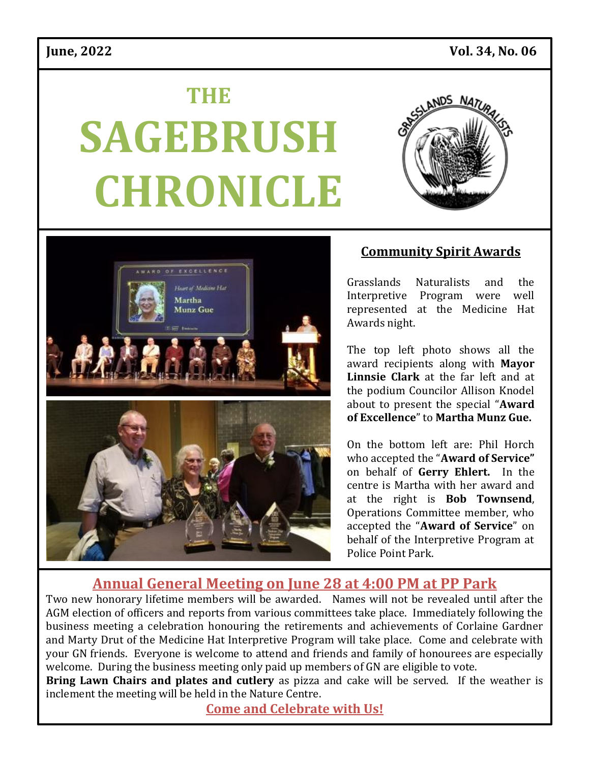# **THE SAGEBRUSH CHRONICLE**





### **Community Spirit Awards**

Grasslands Naturalists and the Interpretive Program were well represented at the Medicine Hat Awards night.

The top left photo shows all the award recipients along with **Mayor Linnsie Clark** at the far left and at the podium Councilor Allison Knodel about to present the special "**Award of Excellence**" to **Martha Munz Gue.**

On the bottom left are: Phil Horch who accepted the "**Award of Service"**  on behalf of **Gerry Ehlert.** In the centre is Martha with her award and at the right is **Bob Townsend**, Operations Committee member, who accepted the "**Award of Service**" on behalf of the Interpretive Program at Police Point Park.

## **Annual General Meeting on June 28 at 4:00 PM at PP Park**

Two new honorary lifetime members will be awarded. Names will not be revealed until after the AGM election of officers and reports from various committees take place. Immediately following the business meeting a celebration honouring the retirements and achievements of Corlaine Gardner and Marty Drut of the Medicine Hat Interpretive Program will take place. Come and celebrate with your GN friends. Everyone is welcome to attend and friends and family of honourees are especially welcome. During the business meeting only paid up members of GN are eligible to vote.

**Bring Lawn Chairs and plates and cutlery** as pizza and cake will be served. If the weather is inclement the meeting will be held in the Nature Centre.

**Come and Celebrate with Us!**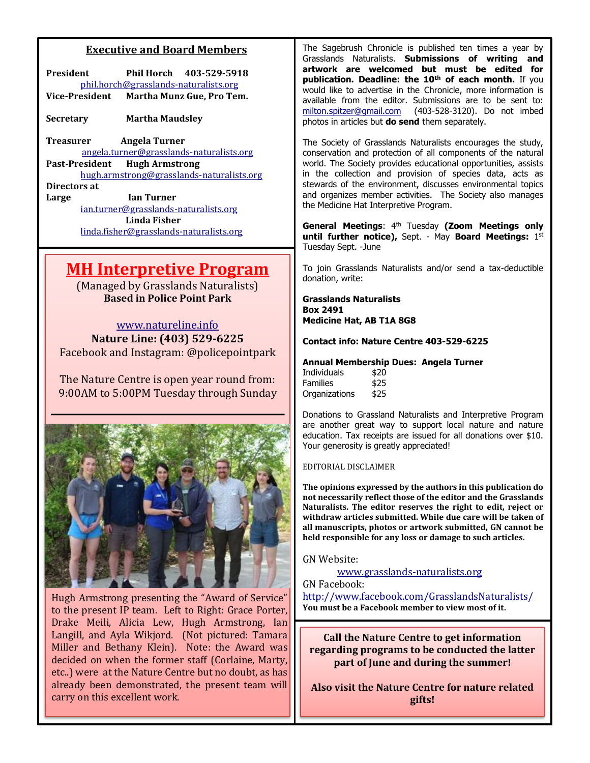#### **Executive and Board Members**

| President                             |  | Phil Horch 403-529-5918   |  |
|---------------------------------------|--|---------------------------|--|
| phil.horch@grasslands-naturalists.org |  |                           |  |
| Vice-President                        |  | Martha Munz Gue, Pro Tem. |  |

**Secretary Martha Maudsley** 

**Treasurer Angela Turner**  [angela.turner@grasslands-naturalists.org](mailto:angela.turner@grasslands-naturalists.org) **Past-President Hugh Armstrong** [hugh.armstrong@grasslands-naturalists.org](mailto:hugh.armstrong@grasslands-naturalists.org)

**Directors at Large Ian Turner** [ian.turner@grasslands-naturalists.org](mailto:ian.turner@grasslands-naturalists.org) **Linda Fisher**  [linda.fisher@grasslands-naturalists.org](mailto:linda.fisher@grasslands-naturalists.org)

## **MH Interpretive Program**

(Managed by Grasslands Naturalists) **Based in Police Point Park** 

[www.natureline.info](http://www.natureline.info/) **Nature Line: (403) 529-6225** Facebook and Instagram: @policepointpark

The Nature Centre is open year round from: 9:00AM to 5:00PM Tuesday through Sunday



Hugh Armstrong presenting the "Award of Service" to the present IP team. Left to Right: Grace Porter, Drake Meili, Alicia Lew, Hugh Armstrong, Ian Langill, and Ayla Wikjord. (Not pictured: Tamara Miller and Bethany Klein). Note: the Award was decided on when the former staff (Corlaine, Marty, etc..) were at the Nature Centre but no doubt, as has already been demonstrated, the present team will carry on this excellent work.

The Sagebrush Chronicle is published ten times a year by Grasslands Naturalists. **Submissions of writing and artwork are welcomed but must be edited for publication. Deadline: the 10th of each month.** If you would like to advertise in the Chronicle, more information is available from the editor. Submissions are to be sent to: [milton.spitzer@gmail.com](mailto:milton.spitzer@gmail.com) (403-528-3120). Do not imbed photos in articles but **do send** them separately.

The Society of Grasslands Naturalists encourages the study, conservation and protection of all components of the natural world. The Society provides educational opportunities, assists in the collection and provision of species data, acts as stewards of the environment, discusses environmental topics and organizes member activities. The Society also manages the Medicine Hat Interpretive Program.

**General Meetings**: 4th Tuesday **(Zoom Meetings only until further notice), Sept. - May Board Meetings: 1st** Tuesday Sept. -June

To join Grasslands Naturalists and/or send a tax-deductible donation, write:

**Grasslands Naturalists Box 2491 Medicine Hat, AB T1A 8G8**

**Contact info: Nature Centre 403-529-6225**

#### **Annual Membership Dues: Angela Turner**

| Individuals   | \$20 |  |
|---------------|------|--|
| Families      | \$25 |  |
| Organizations | \$25 |  |

Donations to Grassland Naturalists and Interpretive Program are another great way to support local nature and nature education. Tax receipts are issued for all donations over \$10. Your generosity is greatly appreciated!

#### EDITORIAL DISCLAIMER

**The opinions expressed by the authors in this publication do not necessarily reflect those of the editor and the Grasslands Naturalists. The editor reserves the right to edit, reject or withdraw articles submitted. While due care will be taken of all manuscripts, photos or artwork submitted, GN cannot be held responsible for any loss or damage to such articles.**

#### GN Website:

[www.grasslands-naturalists.org](http://www.grasslands-naturalist.org/)

#### GN Facebook:

<http://www.facebook.com/GrasslandsNaturalists/> **You must be a Facebook member to view most of it.**

**Call the Nature Centre to get information regarding programs to be conducted the latter part of June and during the summer!**

**Also visit the Nature Centre for nature related gifts!**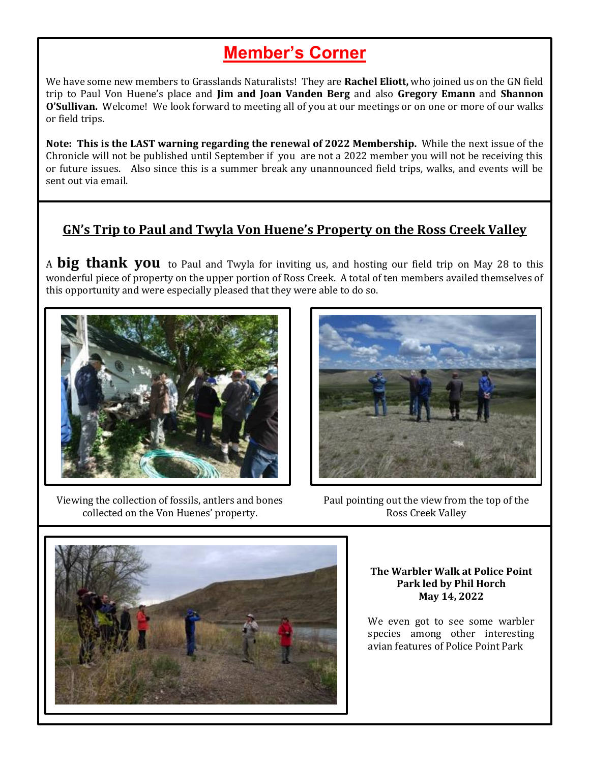## **Member's Corner**

We have some new members to Grasslands Naturalists! They are **Rachel Eliott,** who joined us on the GN field trip to Paul Von Huene's place and **Jim and Joan Vanden Berg** and also **Gregory Emann** and **Shannon O'Sullivan.** Welcome! We look forward to meeting all of you at our meetings or on one or more of our walks or field trips.

**Note: This is the LAST warning regarding the renewal of 2022 Membership.** While the next issue of the Chronicle will not be published until September if you are not a 2022 member you will not be receiving this or future issues. Also since this is a summer break any unannounced field trips, walks, and events will be sent out via email.

#### **GN's Trip to Paul and Twyla Von Huene's Property on the Ross Creek Valley**

<sup>A</sup>**big thank you** to Paul and Twyla for inviting us, and hosting our field trip on May 28 to this wonderful piece of property on the upper portion of Ross Creek. A total of ten members availed themselves of this opportunity and were especially pleased that they were able to do so.



Viewing the collection of fossils, antlers and bones collected on the Von Huenes' property.



Paul pointing out the view from the top of the Ross Creek Valley



**The Warbler Walk at Police Point Park led by Phil Horch May 14, 2022**

We even got to see some warbler species among other interesting avian features of Police Point Park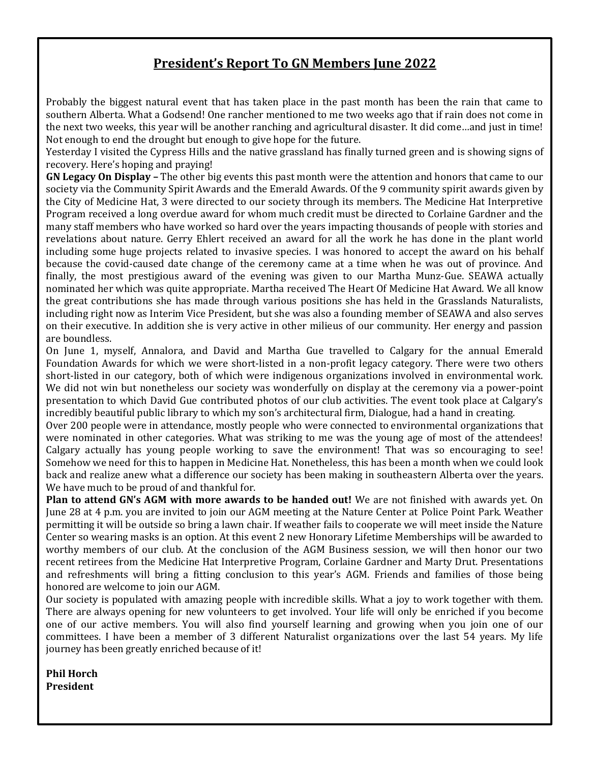#### **President's Report To GN Members June 2022**

Probably the biggest natural event that has taken place in the past month has been the rain that came to southern Alberta. What a Godsend! One rancher mentioned to me two weeks ago that if rain does not come in the next two weeks, this year will be another ranching and agricultural disaster. It did come…and just in time! Not enough to end the drought but enough to give hope for the future.

Yesterday I visited the Cypress Hills and the native grassland has finally turned green and is showing signs of recovery. Here's hoping and praying!

**GN Legacy On Display –** The other big events this past month were the attention and honors that came to our society via the Community Spirit Awards and the Emerald Awards. Of the 9 community spirit awards given by the City of Medicine Hat, 3 were directed to our society through its members. The Medicine Hat Interpretive Program received a long overdue award for whom much credit must be directed to Corlaine Gardner and the many staff members who have worked so hard over the years impacting thousands of people with stories and revelations about nature. Gerry Ehlert received an award for all the work he has done in the plant world including some huge projects related to invasive species. I was honored to accept the award on his behalf because the covid-caused date change of the ceremony came at a time when he was out of province. And finally, the most prestigious award of the evening was given to our Martha Munz-Gue. SEAWA actually nominated her which was quite appropriate. Martha received The Heart Of Medicine Hat Award. We all know the great contributions she has made through various positions she has held in the Grasslands Naturalists, including right now as Interim Vice President, but she was also a founding member of SEAWA and also serves on their executive. In addition she is very active in other milieus of our community. Her energy and passion are boundless.

On June 1, myself, Annalora, and David and Martha Gue travelled to Calgary for the annual Emerald Foundation Awards for which we were short-listed in a non-profit legacy category. There were two others short-listed in our category, both of which were indigenous organizations involved in environmental work. We did not win but nonetheless our society was wonderfully on display at the ceremony via a power-point presentation to which David Gue contributed photos of our club activities. The event took place at Calgary's incredibly beautiful public library to which my son's architectural firm, Dialogue, had a hand in creating.

Over 200 people were in attendance, mostly people who were connected to environmental organizations that were nominated in other categories. What was striking to me was the young age of most of the attendees! Calgary actually has young people working to save the environment! That was so encouraging to see! Somehow we need for this to happen in Medicine Hat. Nonetheless, this has been a month when we could look back and realize anew what a difference our society has been making in southeastern Alberta over the years. We have much to be proud of and thankful for.

**Plan to attend GN's AGM with more awards to be handed out!** We are not finished with awards yet. On June 28 at 4 p.m. you are invited to join our AGM meeting at the Nature Center at Police Point Park. Weather permitting it will be outside so bring a lawn chair. If weather fails to cooperate we will meet inside the Nature Center so wearing masks is an option. At this event 2 new Honorary Lifetime Memberships will be awarded to worthy members of our club. At the conclusion of the AGM Business session, we will then honor our two recent retirees from the Medicine Hat Interpretive Program, Corlaine Gardner and Marty Drut. Presentations and refreshments will bring a fitting conclusion to this year's AGM. Friends and families of those being honored are welcome to join our AGM.

Our society is populated with amazing people with incredible skills. What a joy to work together with them. There are always opening for new volunteers to get involved. Your life will only be enriched if you become one of our active members. You will also find yourself learning and growing when you join one of our committees. I have been a member of 3 different Naturalist organizations over the last 54 years. My life journey has been greatly enriched because of it!

**Phil Horch President**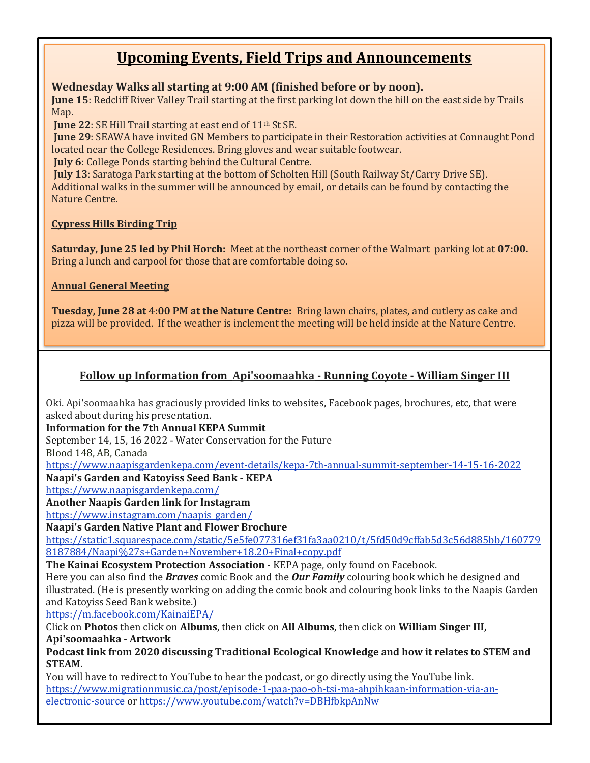## **Upcoming Events, Field Trips and Announcements**

#### **Wednesday Walks all starting at 9:00 AM (finished before or by noon).**

**June 15**: Redcliff River Valley Trail starting at the first parking lot down the hill on the east side by Trails Map.

**June 22: SE Hill Trail starting at east end of 11<sup>th</sup> St SE.** 

**June 29**: SEAWA have invited GN Members to participate in their Restoration activities at Connaught Pond located near the College Residences. Bring gloves and wear suitable footwear.

**July 6**: College Ponds starting behind the Cultural Centre.

**July 13**: Saratoga Park starting at the bottom of Scholten Hill (South Railway St/Carry Drive SE). Additional walks in the summer will be announced by email, or details can be found by contacting the Nature Centre.

#### **Cypress Hills Birding Trip**

**Saturday, June 25 led by Phil Horch:** Meet at the northeast corner of the Walmart parking lot at **07:00.**  Bring a lunch and carpool for those that are comfortable doing so.

#### **Annual General Meeting**

**Tuesday, June 28 at 4:00 PM at the Nature Centre:** Bring lawn chairs, plates, and cutlery as cake and pizza will be provided. If the weather is inclement the meeting will be held inside at the Nature Centre.

#### **Follow up Information from Api'soomaahka - Running Coyote - William Singer III**

Oki. Api'soomaahka has graciously provided links to websites, Facebook pages, brochures, etc, that were asked about during his presentation.

**Information for the 7th Annual KEPA Summit**

September 14, 15, 16 2022 - Water Conservation for the Future

Blood 148, AB, Canada

<https://www.naapisgardenkepa.com/event-details/kepa-7th-annual-summit-september-14-15-16-2022> **Naapi's Garden and Katoyiss Seed Bank - KEPA**

<https://www.naapisgardenkepa.com/>

#### **Another Naapis Garden link for Instagram**

[https://www.instagram.com/naapis\\_garden/](https://www.instagram.com/naapis_garden/)

**Naapi's Garden Native Plant and Flower Brochure**

[https://static1.squarespace.com/static/5e5fe077316ef31fa3aa0210/t/5fd50d9cffab5d3c56d885bb/160779](https://static1.squarespace.com/static/5e5fe077316ef31fa3aa0210/t/5fd50d9cffab5d3c56d885bb/1607798187884/Naapi%27s+Garden+November+18.20+Final+copy.pdf) [8187884/Naapi%27s+Garden+November+18.20+Final+copy.pdf](https://static1.squarespace.com/static/5e5fe077316ef31fa3aa0210/t/5fd50d9cffab5d3c56d885bb/1607798187884/Naapi%27s+Garden+November+18.20+Final+copy.pdf)

**The Kainai Ecosystem Protection Association** - KEPA page, only found on Facebook.

Here you can also find the *Braves* comic Book and the *Our Family* colouring book which he designed and illustrated. (He is presently working on adding the comic book and colouring book links to the Naapis Garden and Katoyiss Seed Bank website.)

<https://m.facebook.com/KainaiEPA/>

Click on **Photos** then click on **Albums**, then click on **All Albums**, then click on **William Singer III,** 

**Api'soomaahka - Artwork**

**Podcast link from 2020 discussing Traditional Ecological Knowledge and how it relates to STEM and STEAM.**

You will have to redirect to YouTube to hear the podcast, or go directly using the YouTube link. [https://www.migrationmusic.ca/post/episode-1-paa-pao-oh-tsi-ma-ahpihkaan-information-via-an](https://www.migrationmusic.ca/post/episode-1-paa-pao-oh-tsi-ma-ahpihkaan-information-via-an-electronic-source)[electronic-source](https://www.migrationmusic.ca/post/episode-1-paa-pao-oh-tsi-ma-ahpihkaan-information-via-an-electronic-source) or <https://www.youtube.com/watch?v=DBHfbkpAnNw>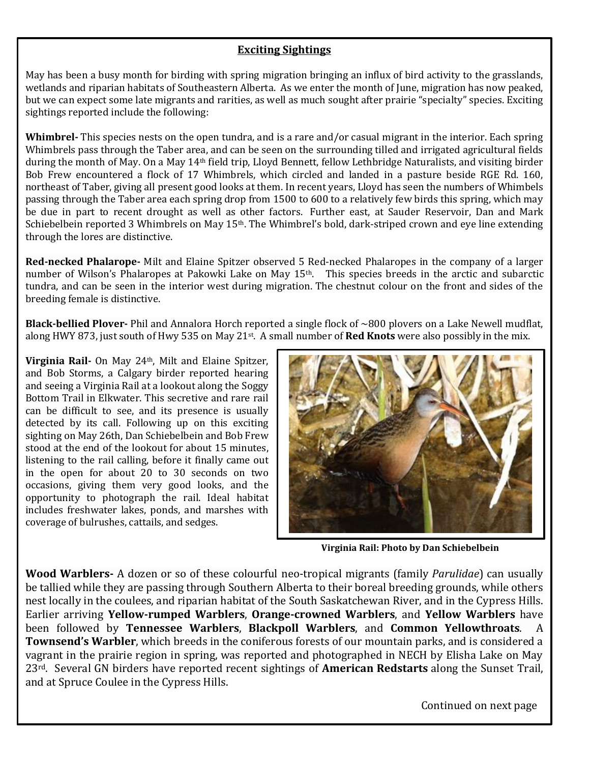#### **Exciting Sightings**

May has been a busy month for birding with spring migration bringing an influx of bird activity to the grasslands, wetlands and riparian habitats of Southeastern Alberta. As we enter the month of June, migration has now peaked, but we can expect some late migrants and rarities, as well as much sought after prairie "specialty" species. Exciting sightings reported include the following:

**Whimbrel-** This species nests on the open tundra, and is a rare and/or casual migrant in the interior. Each spring Whimbrels pass through the Taber area, and can be seen on the surrounding tilled and irrigated agricultural fields during the month of May. On a May 14th field trip, Lloyd Bennett, fellow Lethbridge Naturalists, and visiting birder Bob Frew encountered a flock of 17 Whimbrels, which circled and landed in a pasture beside RGE Rd. 160, northeast of Taber, giving all present good looks at them. In recent years, Lloyd has seen the numbers of Whimbels passing through the Taber area each spring drop from 1500 to 600 to a relatively few birds this spring, which may be due in part to recent drought as well as other factors. Further east, at Sauder Reservoir, Dan and Mark Schiebelbein reported 3 Whimbrels on May 15<sup>th</sup>. The Whimbrel's bold, dark-striped crown and eye line extending through the lores are distinctive.

**Red-necked Phalarope-** Milt and Elaine Spitzer observed 5 Red-necked Phalaropes in the company of a larger number of Wilson's Phalaropes at Pakowki Lake on May 15th. This species breeds in the arctic and subarctic tundra, and can be seen in the interior west during migration. The chestnut colour on the front and sides of the breeding female is distinctive.

**Black-bellied Plover-** Phil and Annalora Horch reported a single flock of ~800 plovers on a Lake Newell mudflat, along HWY 873, just south of Hwy 535 on May 21st. A small number of **Red Knots** were also possibly in the mix.

**Virginia Rail-** On May 24th, Milt and Elaine Spitzer, and Bob Storms, a Calgary birder reported hearing and seeing a Virginia Rail at a lookout along the Soggy Bottom Trail in Elkwater. This secretive and rare rail can be difficult to see, and its presence is usually detected by its call. Following up on this exciting sighting on May 26th, Dan Schiebelbein and Bob Frew stood at the end of the lookout for about 15 minutes, listening to the rail calling, before it finally came out in the open for about 20 to 30 seconds on two occasions, giving them very good looks, and the opportunity to photograph the rail. Ideal habitat includes freshwater lakes, ponds, and marshes with coverage of bulrushes, cattails, and sedges.



**Virginia Rail: Photo by Dan Schiebelbein**

**Wood Warblers-** A dozen or so of these colourful neo-tropical migrants (family *Parulidae*) can usually be tallied while they are passing through Southern Alberta to their boreal breeding grounds, while others nest locally in the coulees, and riparian habitat of the South Saskatchewan River, and in the Cypress Hills. Earlier arriving **Yellow-rumped Warblers**, **Orange-crowned Warblers**, and **Yellow Warblers** have been followed by **Tennessee Warblers**, **Blackpoll Warblers**, and **Common Yellowthroats**. A **Townsend's Warbler**, which breeds in the coniferous forests of our mountain parks, and is considered a vagrant in the prairie region in spring, was reported and photographed in NECH by Elisha Lake on May 23rd. Several GN birders have reported recent sightings of **American Redstarts** along the Sunset Trail, and at Spruce Coulee in the Cypress Hills.

Continued on next page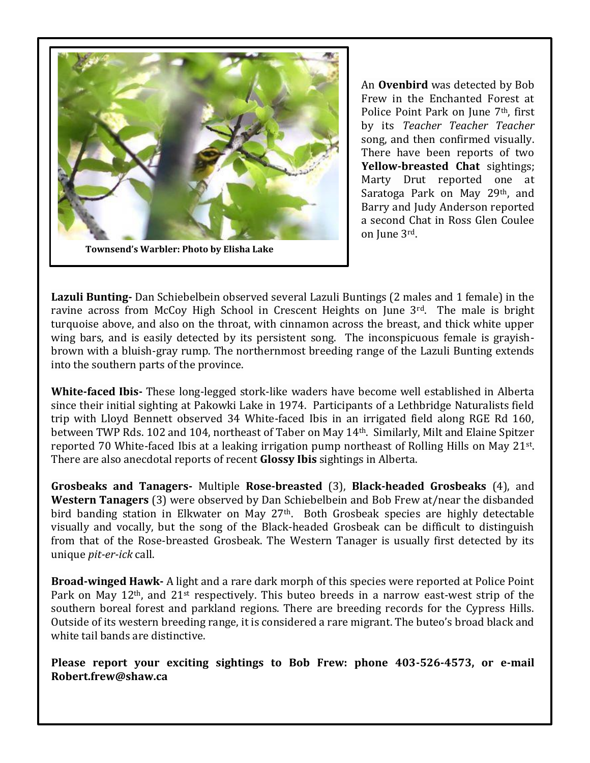

An **Ovenbird** was detected by Bob Frew in the Enchanted Forest at Police Point Park on June 7<sup>th</sup>, first by its *Teacher Teacher Teacher* song, and then confirmed visually. There have been reports of two **Yellow-breasted Chat** sightings; Marty Drut reported one at Saratoga Park on May 29<sup>th</sup>, and Barry and Judy Anderson reported a second Chat in Ross Glen Coulee on June 3rd.

**Lazuli Bunting-** Dan Schiebelbein observed several Lazuli Buntings (2 males and 1 female) in the ravine across from McCoy High School in Crescent Heights on June  $3<sup>rd</sup>$ . The male is bright turquoise above, and also on the throat, with cinnamon across the breast, and thick white upper wing bars, and is easily detected by its persistent song. The inconspicuous female is grayishbrown with a bluish-gray rump. The northernmost breeding range of the Lazuli Bunting extends into the southern parts of the province.

**White-faced Ibis-** These long-legged stork-like waders have become well established in Alberta since their initial sighting at Pakowki Lake in 1974. Participants of a Lethbridge Naturalists field trip with Lloyd Bennett observed 34 White-faced Ibis in an irrigated field along RGE Rd 160, between TWP Rds. 102 and 104, northeast of Taber on May 14th. Similarly, Milt and Elaine Spitzer reported 70 White-faced Ibis at a leaking irrigation pump northeast of Rolling Hills on May 21<sup>st</sup>. There are also anecdotal reports of recent **Glossy Ibis** sightings in Alberta.

**Grosbeaks and Tanagers-** Multiple **Rose-breasted** (3), **Black-headed Grosbeaks** (4), and **Western Tanagers** (3) were observed by Dan Schiebelbein and Bob Frew at/near the disbanded bird banding station in Elkwater on May 27th. Both Grosbeak species are highly detectable visually and vocally, but the song of the Black-headed Grosbeak can be difficult to distinguish from that of the Rose-breasted Grosbeak. The Western Tanager is usually first detected by its unique *pit-er-ick* call.

**Broad-winged Hawk-** A light and a rare dark morph of this species were reported at Police Point Park on May 12<sup>th</sup>, and 21<sup>st</sup> respectively. This buteo breeds in a narrow east-west strip of the southern boreal forest and parkland regions. There are breeding records for the Cypress Hills. Outside of its western breeding range, it is considered a rare migrant. The buteo's broad black and white tail bands are distinctive.

**Please report your exciting sightings to Bob Frew: phone 403-526-4573, or e-mail Robert.frew@shaw.ca**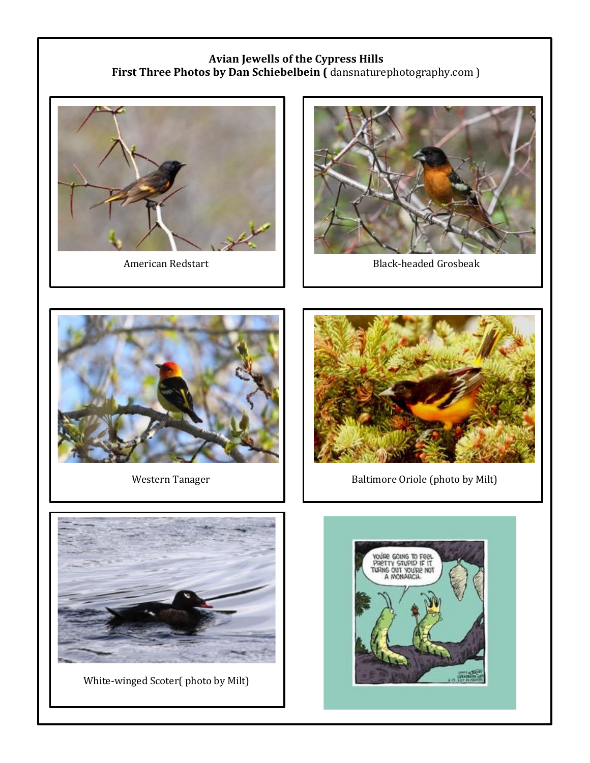#### **Avian Jewells of the Cypress Hills First Three Photos by Dan Schiebelbein (** dansnaturephotography.com )





American Redstart **Black-headed Grosbeak** 





Western Tanager **Baltimore Oriole (photo by Milt)** Baltimore Oriole (photo by Milt)



White-winged Scoter( photo by Milt)

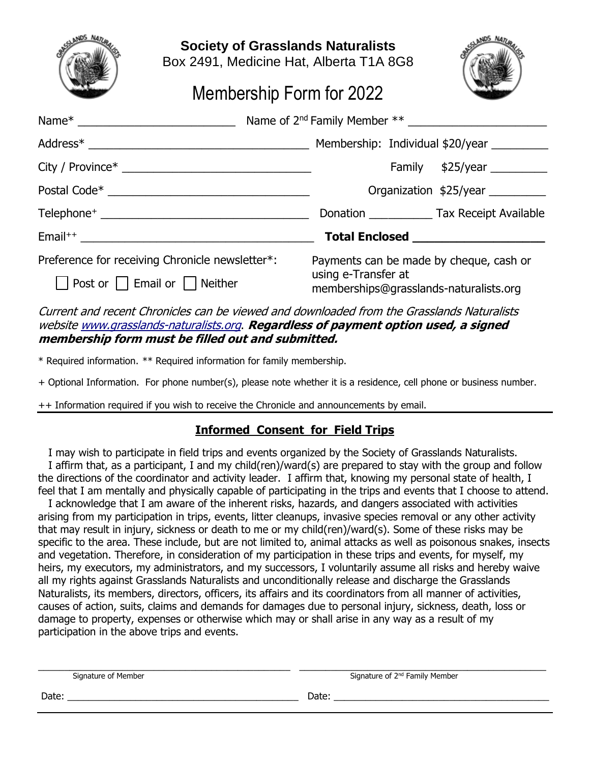

**Society of Grasslands Naturalists**

Box 2491, Medicine Hat, Alberta T1A 8G8



## Membership Form for 2022

|                                                                                                      | Name of 2 <sup>nd</sup> Family Member **                      |                        |
|------------------------------------------------------------------------------------------------------|---------------------------------------------------------------|------------------------|
|                                                                                                      |                                                               |                        |
|                                                                                                      |                                                               | Family $$25/year$      |
| Postal Code* Postal Code* Postal Code* Postal Code* Postal Code* Postal Code* Postal Code* Postal Co |                                                               | Organization \$25/year |
|                                                                                                      |                                                               |                        |
|                                                                                                      |                                                               |                        |
| Preference for receiving Chronicle newsletter*:                                                      | Payments can be made by cheque, cash or                       |                        |
| $\Box$ Post or $\Box$ Email or $\Box$ Neither                                                        | using e-Transfer at<br>memberships@grasslands-naturalists.org |                        |

Current and recent Chronicles can be viewed and downloaded from the Grasslands Naturalists websit[e www.grasslands-naturalists.org](http://www.grasslands-naturalists.org/). **Regardless of payment option used, a signed membership form must be filled out and submitted.**

\* Required information. \*\* Required information for family membership.

+ Optional Information. For phone number(s), please note whether it is a residence, cell phone or business number.

++ Information required if you wish to receive the Chronicle and announcements by email.

#### **Informed Consent for Field Trips**

 I may wish to participate in field trips and events organized by the Society of Grasslands Naturalists. I affirm that, as a participant, I and my child(ren)/ward(s) are prepared to stay with the group and follow the directions of the coordinator and activity leader. I affirm that, knowing my personal state of health, I feel that I am mentally and physically capable of participating in the trips and events that I choose to attend.

 I acknowledge that I am aware of the inherent risks, hazards, and dangers associated with activities arising from my participation in trips, events, litter cleanups, invasive species removal or any other activity that may result in injury, sickness or death to me or my child(ren)/ward(s). Some of these risks may be specific to the area. These include, but are not limited to, animal attacks as well as poisonous snakes, insects and vegetation. Therefore, in consideration of my participation in these trips and events, for myself, my heirs, my executors, my administrators, and my successors, I voluntarily assume all risks and hereby waive all my rights against Grasslands Naturalists and unconditionally release and discharge the Grasslands Naturalists, its members, directors, officers, its affairs and its coordinators from all manner of activities, causes of action, suits, claims and demands for damages due to personal injury, sickness, death, loss or damage to property, expenses or otherwise which may or shall arise in any way as a result of my participation in the above trips and events.

| Signature of Member | Signature of 2 <sup>nd</sup> Family Member |
|---------------------|--------------------------------------------|
| Date:               | Date:                                      |